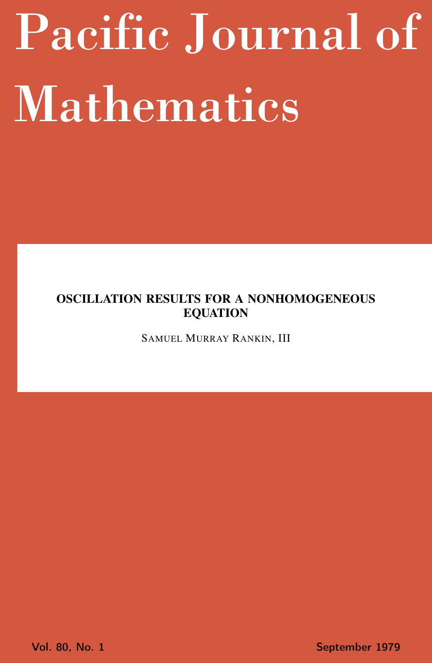# <span id="page-0-0"></span>Pacific Journal of Mathematics

# OSCILLATION RESULTS FOR A NONHOMOGENEOUS EQUATION

SAMUEL MURRAY RANKIN, III

Vol. 80, No. 1 September 1979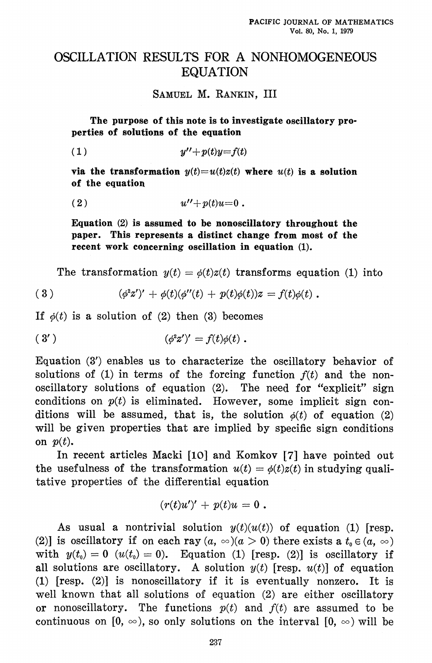## OSCILLATION RESULTS FOR A NONHOMOGENEOUS **EQUATION**

SAMUEL M. RANKIN. III

The purpose of this note is to investigate oscillatory properties of solutions of the equation

 $(1)$  $u''+p(t)u=f(t)$ 

via the transformation  $y(t) = u(t)z(t)$  where  $u(t)$  is a solution of the equation

$$
(2) \t u'' + p(t)u = 0.
$$

Equation  $(2)$  is assumed to be nonoscillatory throughout the paper. This represents a distinct change from most of the recent work concerning oscillation in equation (1).

The transformation  $y(t) = \phi(t)z(t)$  transforms equation (1) into

(3) 
$$
(\phi^2 z'')' + \phi(t)(\phi''(t) + p(t)\phi(t))z = f(t)\phi(t).
$$

If  $\phi(t)$  is a solution of (2) then (3) becomes

$$
(3') \qquad \qquad (\phi^2 z')' = f(t)\phi(t) .
$$

Equation (3') enables us to characterize the oscillatory behavior of solutions of (1) in terms of the forcing function  $f(t)$  and the nonoscillatory solutions of equation (2). The need for "explicit" sign conditions on  $p(t)$  is eliminated. However, some implicit sign conditions will be assumed, that is, the solution  $\phi(t)$  of equation (2) will be given properties that are implied by specific sign conditions on  $p(t)$ .

In recent articles Macki [10] and Komkov [7] have pointed out the usefulness of the transformation  $u(t) = \phi(t)z(t)$  in studying qualitative properties of the differential equation

$$
(r(t)u^{\prime})^{\prime}+p(t)u=0.
$$

As usual a nontrivial solution  $y(t)(u(t))$  of equation (1) [resp. (2)] is oscillatory if on each ray  $(a, \infty)(a > 0)$  there exists a  $t_0 \in (a, \infty)$ with  $y(t_0) = 0$  ( $u(t_0) = 0$ ). Equation (1) [resp. (2)] is oscillatory if all solutions are oscillatory. A solution  $y(t)$  [resp.  $u(t)$ ] of equation  $(1)$  [resp.  $(2)$ ] is nonoscillatory if it is eventually nonzero. It is well known that all solutions of equation (2) are either oscillatory or nonoscillatory. The functions  $p(t)$  and  $f(t)$  are assumed to be continuous on  $[0, \infty)$ , so only solutions on the interval  $[0, \infty)$  will be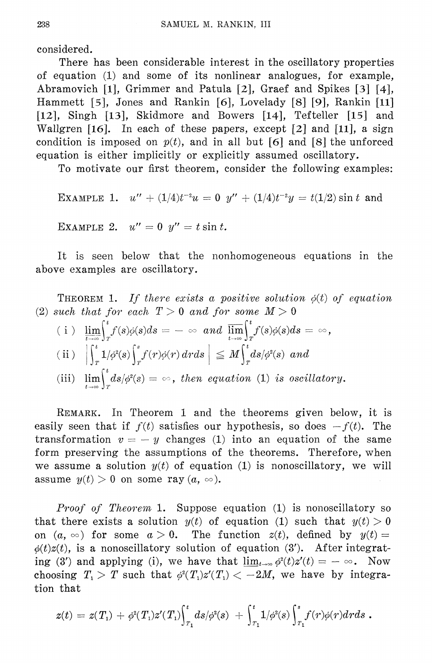considered.

There has been considerable interest in the oscillatory properties of equation (1) and some of its nonlinear analogues, for example, Abramovich [1], Grimmer and Patula [2], Graef and Spikes [3] [4], Hammett [5], Jones and Rankin [6], Lovelady [8] [9], Rankin [11] [12], Singh [13], Skidmore and Bowers [14], Tefteller [15] and Wallgren [16]. In each of these papers, except  $[2]$  and  $[11]$ , a sign condition is imposed on  $p(t)$ , and in all but [6] and [8] the unforced equation is either implicitly or explicitly assumed oscillatory.

To motivate our first theorem, consider the following examples:

EXAMPLE 1. 
$$
u'' + (1/4)t^{-2}u = 0
$$
  $y'' + (1/4)t^{-2}y = t(1/2) \sin t$  and  
EXAMPLE 2.  $u'' = 0$   $y'' = t \sin t$ .

It is seen below that the nonhomogeneous equations in the above examples are oscillatory.

**THEOREM** 1. If there exists a positive solution  $\phi(t)$  of equation (2) such that for each  $T > 0$  and for some  $M > 0$ 

$$
\begin{array}{ll}\n(i) & \lim_{t \to \infty} \int_{r}^{t} f(s) \phi(s) ds = -\infty \quad and \quad \overline{\lim_{t \to \infty}} \int_{r}^{t} f(s) \phi(s) ds = \infty, \\
(ii) & \left| \int_{t}^{t} 1/\phi^{2}(s) \int_{s}^{s} f(r) \phi(r) dr ds \right| \leq M \int_{t}^{t} ds/\phi^{2}(s) \quad and\n\end{array}
$$

(ii)  $\left|\int_{T} 1/\phi^{2}(s)\int_{T} f(r)\phi(r) dr ds\right| \leq M \int_{T} ds/\phi^{2}(s)$  and<br>(iii)  $\lim_{t \to \infty} \int_{T}^{t} ds/\phi^{2}(s) = \infty$ , then equation (1) is oscillatory.

REMARK. In Theorem 1 and the theorems given below, it is easily seen that if  $f(t)$  satisfies our hypothesis, so does  $-f(t)$ . The transformation  $v = -y$  changes (1) into an equation of the same form preserving the assumptions of the theorems. Therefore, when we assume a solution  $y(t)$  of equation (1) is nonoscillatory, we will assume  $y(t) > 0$  on some ray  $(a, \infty)$ .

*Proof of Theorem* 1. Suppose equation (1) is nonoscillatory so that there exists a solution  $y(t)$  of equation (1) such that  $y(t) > 0$ on  $(a, \infty)$  for some  $a > 0$ . The function  $z(t)$ , defined by  $y(t) =$  $\phi(t)z(t)$ , is a nonoscillatory solution of equation (3'). After integrating (3') and applying (i), we have that  $\lim_{t\to\infty}\phi^2(t)z'(t)=-\infty$ . Now choosing  $T_1 > T$  such that  $\phi^2(T_1)z'(T_1) < -2M$ , we have by integration that

$$
z(t)\,=\,z(T_{_1})\,+\,\phi^{\scriptscriptstyle 2}(T_{_1})z'(T_{_1}){\hskip -2.5pt}\int_{\hskip -2.7pt T_{_1}}^{\hskip -2.2pt t}ds/\phi^{\scriptscriptstyle 2}(s)\,\,+ \,{\hskip -2.5pt}\int_{\hskip -2.7pt T_{_1}}^{\hskip -2.2pt t}1/\phi^{\scriptscriptstyle 2}(s){\hskip -2.5pt}\int_{\hskip -2.7pt T_{_1}}^{\hskip -2.2pt s}f(r)\phi(r)drds\,\,.
$$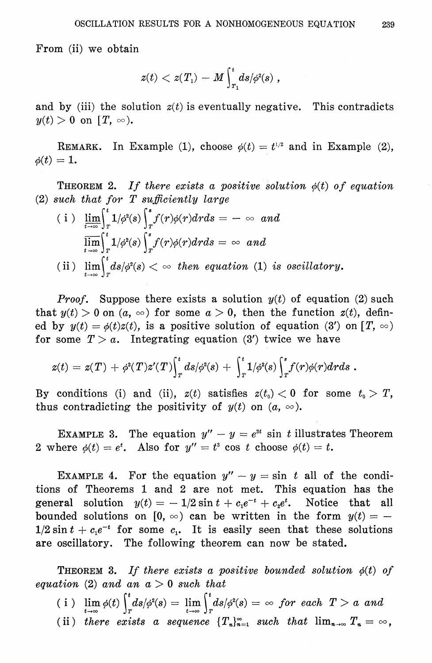From (ii) we obtain

$$
z(t) < z(T_{\scriptscriptstyle 1}) - M \int_{r_{\scriptscriptstyle 1}}^t\!ds/\phi^{\scriptscriptstyle 2}(s) \;,
$$

and by (iii) the solution  $z(t)$  is eventually negative. This contradicts  $y(t) > 0$  on  $[T, \infty)$ .

REMARK. In Example (1), choose  $\phi(t) = t^{1/2}$  and in Example (2),  $\phi(t)=1.$ 

**THEOREM 2.** If there exists a positive solution  $\phi(t)$  of equation (2) such that for  $T$  sufficiently large

(i) 
$$
\lim_{t \to \infty} \int_{r}^{t} 1/\phi^{2}(s) \int_{r}^{s} f(r)\phi(r) dr ds = -\infty \text{ and}
$$

$$
\lim_{t \to \infty} \int_{r}^{t} 1/\phi^{2}(s) \int_{r}^{s} f(r)\phi(r) dr ds = \infty \text{ and}
$$
(ii) 
$$
\lim_{t \to \infty} \int_{r}^{t} ds/\phi^{2}(s) < \infty \text{ then equation (1) is oscillatory.}
$$

*Proof.* Suppose there exists a solution  $y(t)$  of equation (2) such that  $y(t) > 0$  on  $(a, \infty)$  for some  $a > 0$ , then the function  $z(t)$ , defined by  $y(t) = \phi(t)z(t)$ , is a positive solution of equation (3') on  $[T, \infty)$ for some  $T > a$ . Integrating equation (3') twice we have

$$
z(t) = z(T) + \phi^2(T) z'(T) \Big\vert_r^t ds/\phi^2(s) + \Big\vert_r^t 1/\phi^2(s) \Big\vert_r^s f(r) \phi(r) dr ds \; .
$$

By conditions (i) and (ii),  $z(t)$  satisfies  $z(t_0) < 0$  for some  $t_0 > T$ , thus contradicting the positivity of  $y(t)$  on  $(a, \infty)$ .

EXAMPLE 3. The equation  $y'' - y = e^{3t}$  sin t illustrates Theorem 2 where  $\phi(t) = e^t$ . Also for  $y'' = t^3 \cos t$  choose  $\phi(t) = t$ .

EXAMPLE 4. For the equation  $y'' - y = \sin t$  all of the conditions of Theorems 1 and 2 are not met. This equation has the general solution  $y(t) = -1/2 \sin t + c_1 e^{-t} + c_2 e^{t}$ . Notice that all bounded solutions on [0,  $\infty$ ) can be written in the form  $y(t) = 1/2 \sin t + c_1 e^{-t}$  for some  $c_1$ . It is easily seen that these solutions are oscillatory. The following theorem can now be stated.

**THEOREM 3.** If there exists a positive bounded solution  $\phi(t)$  of equation (2) and an  $a > 0$  such that

- (i)  $\lim_{t\to\infty}\phi(t)\int_{T}^{t}ds/\phi^{2}(s) = \lim_{t\to\infty}\int_{T}^{t}ds/\phi^{2}(s) = \infty$  for each  $T > a$  and
- (ii) there exists a sequence  $\{T_n\}_{n=1}^{\infty}$  such that  $\lim_{n\to\infty} T_n = \infty$ ,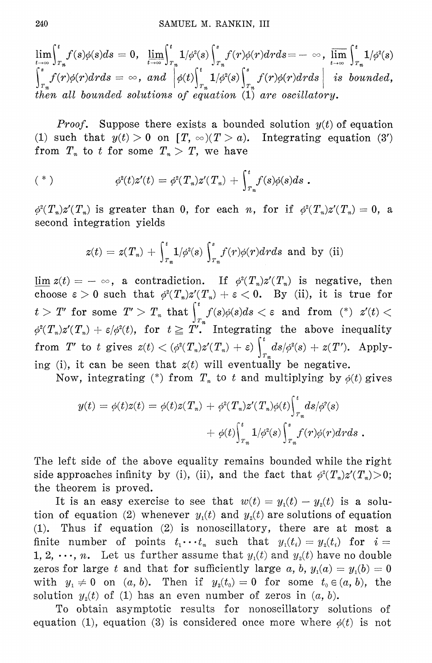$\lim_{t\to\infty}\int_{T_*}^t f(s)\phi(s)ds=0,\ \ \lim_{t\to\infty}\int_{T_*}^t 1/\phi^2(s)\int_{T_*}^s f(r)\phi(r)drds=-\ \infty\ ,\ \lim_{t\to\infty}\int_{T_*}^t 1/\phi^2(s)$  $\int_{r_n}^{s} f(r)\phi(r) dr ds = \infty$ , and  $\phi(t) \int_{r_n}^{t} 1/\phi^2(s) \int_{r_n}^{s} f(r)\phi(r) dr ds$  is bounded,<br>then all bounded solutions of equation (1) are oscillatory.

*Proof.* Suppose there exists a bounded solution  $y(t)$  of equation (1) such that  $y(t) > 0$  on  $[T, \infty)$   $(T > a)$ . Integrating equation  $(3')$ from  $T_n$  to t for some  $T_n > T$ , we have

$$
(* )
$$
\n
$$
\phi^2(t)z'(t) = \phi^2(T_n)z'(T_n) + \int_{T_n}^t f(s)\phi(s)ds .
$$

 $\phi^2(T_n)z'(T_n)$  is greater than 0, for each *n*, for if  $\phi^2(T_n)z'(T_n) = 0$ , a second integration yields

$$
z(t) = z(T_n) + \int_{T_n}^t 1/\phi^2(s) \int_{T_n}^s f(r)\phi(r) dr ds
$$
 and by (ii)

 $\lim z(t) = -\infty$ , a contradiction. If  $\phi^2(T_n)z'(T_n)$  is negative, then choose  $\varepsilon > 0$  such that  $\phi^2(T_n)z'(T_n) + \varepsilon < 0$ . By (ii), it is true for  $t>T'$  for some  $T'>T_n$  that  $\int_{T_m}^t f(s)\phi(s)ds < \varepsilon$  and from  $(*) z'(t) <$  $\phi^2(T_n)z'(T_n) + \varepsilon/\phi^2(t)$ , for  $t \geq T$ . Integrating the above inequality from T' to t gives  $z(t) < (\phi^2(T_n)z'(T_n) + \varepsilon) \int_{\pi}^{t} ds/\phi^2(s) + z(T')$ . Applying (i), it can be seen that  $z(t)$  will eventually be negative.

Now, integrating (\*) from  $T_n$  to t and multiplying by  $\phi(t)$  gives

$$
y(t) = \phi(t)z(t) = \phi(t)z(T_n) + \phi^2(T_n)z'(T_n)\phi(t)\Big|_{T_n}^t ds/\phi^2(s)
$$

$$
+ \phi(t)\Big|_{T_n}^t 1/\phi^2(s)\Big|_{T_n}^s f(r)\phi(r)drds.
$$

The left side of the above equality remains bounded while the right side approaches infinity by (i), (ii), and the fact that  $\phi^2(T_n)z'(T_n) > 0$ ; the theorem is proved.

It is an easy exercise to see that  $w(t) = y_1(t) - y_2(t)$  is a solution of equation (2) whenever  $y_i(t)$  and  $y_i(t)$  are solutions of equation  $(1)$ . Thus if equation  $(2)$  is nonoscillatory, there are at most a finite number of points  $t_1 \cdots t_n$  such that  $y_1(t_i) = y_2(t_i)$  for  $i =$ 1, 2,  $\cdots$ , *n*. Let us further assume that  $y_1(t)$  and  $y_2(t)$  have no double zeros for large t and that for sufficiently large a, b,  $y_1(a) = y_1(b) = 0$ with  $y_1 \neq 0$  on  $(a, b)$ . Then if  $y_2(t_0) = 0$  for some  $t_0 \in (a, b)$ , the solution  $y_2(t)$  of (1) has an even number of zeros in  $(a, b)$ .

To obtain asymptotic results for nonoscillatory solutions of equation (1), equation (3) is considered once more where  $\phi(t)$  is not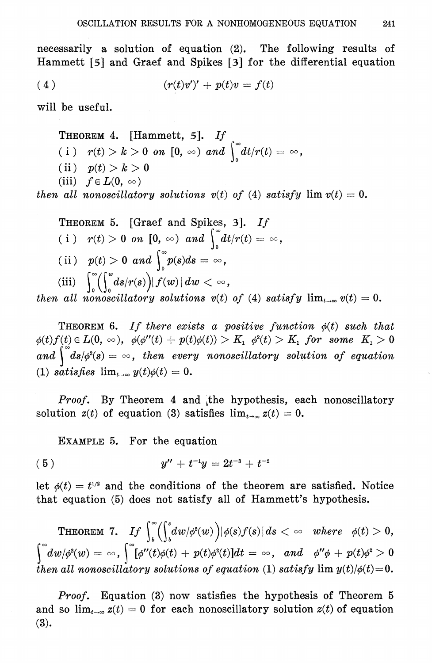necessarily a solution of equation  $(2)$ . The following results of Hammett [5] and Graef and Spikes [3] for the differential equation

$$
(4) \qquad \qquad (r(t)v')' + p(t)v = f(t)
$$

will be useful.

THEOREM 4. [Hammett, 5]. If (i)  $r(t) > k > 0$  on  $[0, \infty)$  and  $\int_{0}^{\infty} dt / r(t) = \infty$ , (ii)  $p(t) > k > 0$ (iii)  $f \in L(0, \infty)$ 

then all nonoscillatory solutions  $v(t)$  of (4) satisfy  $\lim v(t) = 0$ .

THEOREM 5. [Graef and Spikes, 3]. If (i)  $r(t) > 0$  on  $[0, \infty)$  and  $\int_{0}^{\infty} dt / r(t) = \infty$ , (ii)  $p(t) > 0$  and  $\int_{0}^{\infty} p(s)ds = \infty$ , (iii)  $\int_0^{\infty} (\int_a^w ds/r(s)) |f(w)| dw < \infty$ ,

then all nonoscillatory solutions  $v(t)$  of (4) satisfy  $\lim_{t\to\infty}v(t)=0$ .

**THEOREM 6.** If there exists a positive function  $\phi(t)$  such that  $\phi(t)f(t) \in L(0, \infty)$ ,  $\phi(\phi''(t) + p(t)\phi(t)) > K_1$ ,  $\phi^{2}(t) > K_1$ , for some  $K_1 > 0$ and  $\int d\mathbf{s}/\phi^2(\mathbf{s}) = \infty$ , then every nonoscillatory solution of equation (1) satisfies  $\lim_{t\to\infty} y(t)\phi(t) = 0$ .

*Proof.* By Theorem 4 and the hypothesis, each nonoscillatory solution  $z(t)$  of equation (3) satisfies  $\lim_{t\to\infty} z(t) = 0$ .

EXAMPLE 5. For the equation

$$
(5) \hspace{3.1em} y'' + t^{-1}y = 2t^{-3} + t^{-2}
$$

let  $\phi(t) = t^{1/2}$  and the conditions of the theorem are satisfied. Notice that equation (5) does not satisfy all of Hammett's hypothesis.

THEOREM 7. If  $\int_b^{\infty} \left(\int_b^s dw/\phi^2(w)\right) |\phi(s)f(s)| ds < \infty$  where  $\phi(t) > 0$ ,  $\int_0^\infty dw/\phi^2(w) = \infty$ ,  $\int_0^\infty [\phi''(t)\phi(t) + p(t)\phi^2(t)]dt = \infty$ , and  $\phi''\phi + p(t)\phi^2 > 0$ then all nonoscillatory solutions of equation (1) satisfy  $\lim y(t)/\phi(t)=0$ .

*Proof.* Equation (3) now satisfies the hypothesis of Theorem  $5$ and so  $\lim_{t\to\infty}z(t)=0$  for each nonoscillatory solution  $z(t)$  of equation  $(3).$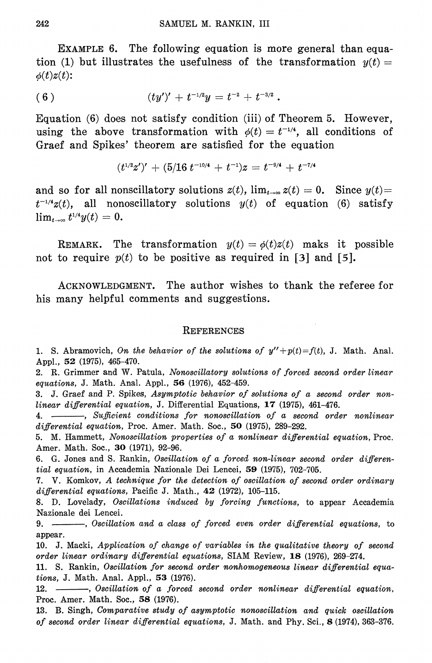EXAMPLE 6. The following equation is more general than equation (1) but illustrates the usefulness of the transformation  $y(t) =$  $\phi(t)z(t)$ :

$$
(6) \t (ty')' + t^{-1/2}y = t^{-2} + t^{-3/2}.
$$

Equation (6) does not satisfy condition (iii) of Theorem 5. However, using the above transformation with  $\phi(t) = t^{-1/4}$ , all conditions of Graef and Spikes' theorem are satisfied for the equation

$$
(t^{1/2}z')' + (5/16 \ t^{-10/4} + t^{-1})z = t^{-9/4} + t^{-7/4}
$$

and so for all nonscillatory solutions  $z(t)$ ,  $\lim_{t\to\infty} z(t) = 0$ . Since  $y(t) =$  $t^{-1/4}z(t)$ , all nonoscillatory solutions  $y(t)$  of equation (6) satisfy  $\lim_{t\to\infty}t^{1/4}y(t)=0.$ 

REMARK. The transformation  $y(t) = \phi(t)z(t)$  maks it possible not to require  $p(t)$  to be positive as required in [3] and [5].

The author wishes to thank the referee for ACKNOWLEDGMENT. his many helpful comments and suggestions.

#### **REFERENCES**

1. S. Abramovich, On the behavior of the solutions of  $y''+p(t)=f(t)$ , J. Math. Anal. Appl., 52 (1975), 465-470.

2. R. Grimmer and W. Patula, Nonoscillatory solutions of forced second order linear equations, J. Math. Anal. Appl., 56 (1976), 452-459.

3. J. Graef and P. Spikes, Asymptotic behavior of solutions of a second order nonlinear differential equation, J. Differential Equations, 17 (1975), 461-476.

4. While and itions for nonoscillation of a second order nonlinear differential equation, Proc. Amer. Math. Soc.,  $50$  (1975), 289-292.

5. M. Hammett, Nonoscillation properties of a nonlinear differential equation. Proc. Amer. Math. Soc., 30 (1971), 92-96.

6. G. Jones and S. Rankin, Oscillation of a forced non-linear second order differential equation, in Accademia Nazionale Dei Lencei, 59 (1975), 702-705.

7. V. Komkov, A technique for the detection of oscillation of second order ordinary differential equations, Pacific J. Math., 42 (1972), 105-115.

8. D. Lovelady, Oscillations induced by forcing functions, to appear Accademia Nazionale dei Lencei.

9. -----, Oscillation and a class of forced even order differential equations, to appear.

10. J. Macki, Application of change of variables in the qualitative theory of second order linear ordinary differential equations, SIAM Review, 18 (1976), 269-274.

11. S. Rankin, Oscillation for second order nonhomogeneous linear differential equations, J. Math. Anal. Appl., 53 (1976).

12. - - Oscillation of a forced second order nonlinear differential equation, Proc. Amer. Math. Soc., 58 (1976).

13. B. Singh, Comparative study of asymptotic nonoscillation and quick oscillation of second order linear differential equations, J. Math. and Phy. Sci., 8 (1974), 363-376.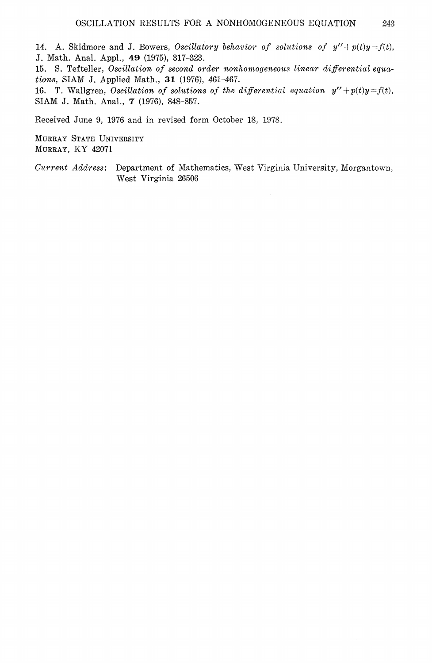14. A. Skidmore and J. Bowers, Oscillatory behavior of solutions of  $y'' + p(t)y = f(t)$ , J. Math. Anal. Appl., 49 (1975), 317-323.

15. S. Tefteller, Oscillation of second order nonhomogeneous linear differential equations, SIAM J. Applied Math., 31 (1976), 461-467.

16. T. Wallgren, Oscillation of solutions of the differential equation  $y'' + p(t)y = f(t)$ , SIAM J. Math. Anal., 7 (1976), 848-857.

Received June 9, 1976 and in revised form October 18, 1978.

MURRAY STATE UNIVERSITY MURRAY, KY 42071

Current Address: Department of Mathematics, West Virginia University, Morgantown, West Virginia 26506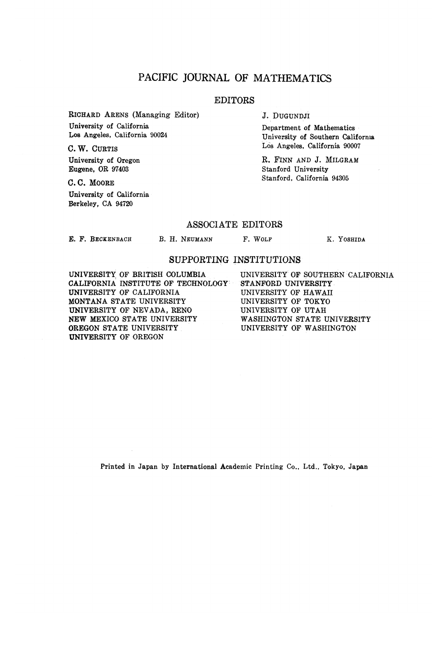## PACIFIC JOURNAL OF MATHEMATICS

#### EDITORS

**RICHARD ARENS (Managing Editor) University of California Los Angeles, California 90024**

**C.W. CURTIS**

**University of Oregon Eugene, OR 97403**

**C.C. MOORE University of California Berkeley, CA 94720**

**J. DUGUNDJI**

**Department of Mathematics University of Southern California Los Angeles, California 90007**

R. FINN AND J. MILGRAM **Stanford University Stanford, California 94305**

## ASSOCIATE EDITORS

**E. F. BECKENBACH**

**B. H. NEUMANN F. WOLF K, YOSHIDA**

### SUPPORTING INSTITUTIONS

**UNIVERSITY OF BRITISH COLUMBIA CALIFORNIA INSTITUTE OF TECHNOLOGY UNIVERSITY OF CALIFORNIA MONTANA STATE UNIVERSITY UNIVERSITY OF NEVADA, RENO NEW MEXICO STATE UNIVERSITY OREGON STATE UNIVERSITY UNIVERSITY OF OREGON**

**UNIVERSITY OF SOUTHERN CALIFORNIA STANFORD UNIVERSITY UNIVERSITY OF HAWAII UNIVERSITY OF TOKYO UNIVERSITY OF UTAH WASHINGTON STATE UNIVERSITY UNIVERSITY OF WASHINGTON**

**Printed in Japan by International Academic Printing Co., Ltd., Tokyo, Japan**